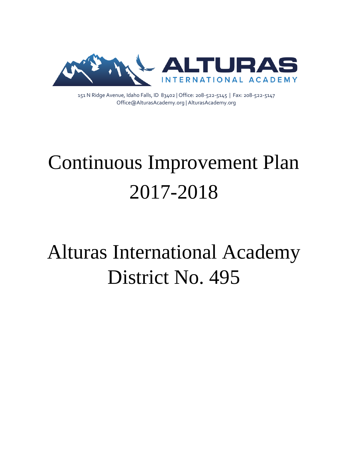

151 N Ridge Avenue, Idaho Falls, ID 83402 | Office: 208-522-5145 | Fax: 208-522-5147 Office@AlturasAcademy.org | AlturasAcademy.org

# Continuous Improvement Plan 2017-2018

# Alturas International Academy District No. 495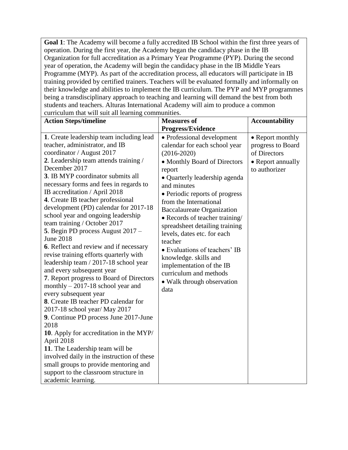**Goal 1**: The Academy will become a fully accredited IB School within the first three years of operation. During the first year, the Academy began the candidacy phase in the IB Organization for full accreditation as a Primary Year Programme (PYP). During the second year of operation, the Academy will begin the candidacy phase in the IB Middle Years Programme (MYP). As part of the accreditation process, all educators will participate in IB training provided by certified trainers. Teachers will be evaluated formally and informally on their knowledge and abilities to implement the IB curriculum. The PYP and MYP programmes being a transdisciplinary approach to teaching and learning will demand the best from both students and teachers. Alturas International Academy will aim to produce a common curriculum that will suit all learning communities.

| $\alpha$ can call the will be an identify     | communico.                        |                       |
|-----------------------------------------------|-----------------------------------|-----------------------|
| <b>Action Steps/timeline</b>                  | <b>Measures of</b>                | <b>Accountability</b> |
|                                               | <b>Progress/Evidence</b>          |                       |
| 1. Create leadership team including lead      | • Professional development        | • Report monthly      |
| teacher, administrator, and IB                | calendar for each school year     | progress to Board     |
| coordinator / August 2017                     | $(2016 - 2020)$                   | of Directors          |
| 2. Leadership team attends training /         | • Monthly Board of Directors      | • Report annually     |
| December 2017                                 | report                            | to authorizer         |
| 3. IB MYP coordinator submits all             | • Quarterly leadership agenda     |                       |
| necessary forms and fees in regards to        | and minutes                       |                       |
| IB accreditation / April 2018                 | • Periodic reports of progress    |                       |
| 4. Create IB teacher professional             | from the International            |                       |
| development (PD) calendar for 2017-18         | <b>Baccalaureate Organization</b> |                       |
| school year and ongoing leadership            | • Records of teacher training/    |                       |
| team training / October 2017                  | spreadsheet detailing training    |                       |
| 5. Begin PD process August 2017 -             | levels, dates etc. for each       |                       |
| <b>June 2018</b>                              | teacher                           |                       |
| <b>6.</b> Reflect and review and if necessary | • Evaluations of teachers' IB     |                       |
| revise training efforts quarterly with        | knowledge. skills and             |                       |
| leadership team / 2017-18 school year         | implementation of the IB          |                       |
| and every subsequent year                     | curriculum and methods            |                       |
| 7. Report progress to Board of Directors      | • Walk through observation        |                       |
| monthly $-2017-18$ school year and            | data                              |                       |
| every subsequent year                         |                                   |                       |
| 8. Create IB teacher PD calendar for          |                                   |                       |
| 2017-18 school year/ May 2017                 |                                   |                       |
| 9. Continue PD process June 2017-June         |                                   |                       |
| 2018                                          |                                   |                       |
| 10. Apply for accreditation in the MYP/       |                                   |                       |
| April 2018                                    |                                   |                       |
| 11. The Leadership team will be               |                                   |                       |
| involved daily in the instruction of these    |                                   |                       |
| small groups to provide mentoring and         |                                   |                       |
| support to the classroom structure in         |                                   |                       |
| academic learning.                            |                                   |                       |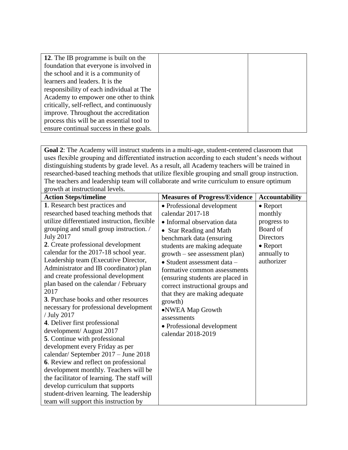| 12. The IB programme is built on the       |  |
|--------------------------------------------|--|
| foundation that everyone is involved in    |  |
| the school and it is a community of        |  |
| learners and leaders. It is the            |  |
| responsibility of each individual at The   |  |
| Academy to empower one other to think      |  |
| critically, self-reflect, and continuously |  |
| improve. Throughout the accreditation      |  |
| process this will be an essential tool to  |  |
| ensure continual success in these goals.   |  |

**Goal 2**: The Academy will instruct students in a multi-age, student-centered classroom that uses flexible grouping and differentiated instruction according to each student's needs without distinguishing students by grade level. As a result, all Academy teachers will be trained in researched-based teaching methods that utilize flexible grouping and small group instruction. The teachers and leadership team will collaborate and write curriculum to ensure optimum growth at instructional levels.

| <b>Action Steps/timeline</b>                                                                                                                                                                                                                                                                                                                                                                                                                                                                                                                                                                                                                                                                                                                                                                                                                                                                                                                                                         | <b>Measures of Progress/Evidence</b>                                                                                                                                                                                                                                                                                                                                                                                                                                            | <b>Accountability</b>                                                                                                       |
|--------------------------------------------------------------------------------------------------------------------------------------------------------------------------------------------------------------------------------------------------------------------------------------------------------------------------------------------------------------------------------------------------------------------------------------------------------------------------------------------------------------------------------------------------------------------------------------------------------------------------------------------------------------------------------------------------------------------------------------------------------------------------------------------------------------------------------------------------------------------------------------------------------------------------------------------------------------------------------------|---------------------------------------------------------------------------------------------------------------------------------------------------------------------------------------------------------------------------------------------------------------------------------------------------------------------------------------------------------------------------------------------------------------------------------------------------------------------------------|-----------------------------------------------------------------------------------------------------------------------------|
| 1. Research best practices and<br>researched based teaching methods that<br>utilize differentiated instruction, flexible<br>grouping and small group instruction. /<br><b>July 2017</b><br>2. Create professional development<br>calendar for the 2017-18 school year.<br>Leadership team (Executive Director,<br>Administrator and IB coordinator) plan<br>and create professional development<br>plan based on the calendar / February<br>2017<br>3. Purchase books and other resources<br>necessary for professional development<br>/ July 2017<br>4. Deliver first professional<br>development/ August 2017<br>5. Continue with professional<br>development every Friday as per<br>calendar/ September 2017 - June 2018<br>6. Review and reflect on professional<br>development monthly. Teachers will be<br>the facilitator of learning. The staff will<br>develop curriculum that supports<br>student-driven learning. The leadership<br>team will support this instruction by | • Professional development<br>calendar 2017-18<br>• Informal observation data<br>• Star Reading and Math<br>benchmark data (ensuring<br>students are making adequate<br>growth – see assessment plan)<br>· Student assessment data -<br>formative common assessments<br>(ensuring students are placed in<br>correct instructional groups and<br>that they are making adequate<br>growth)<br>•NWEA Map Growth<br>assessments<br>• Professional development<br>calendar 2018-2019 | $\bullet$ Report<br>monthly<br>progress to<br>Board of<br><b>Directors</b><br>$\bullet$ Report<br>annually to<br>authorizer |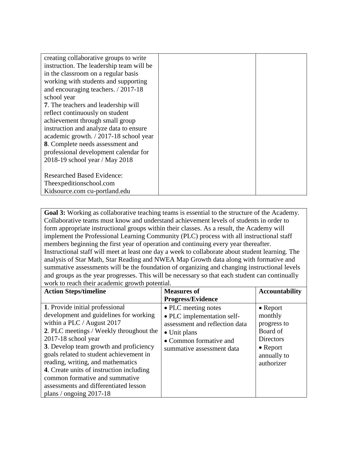| creating collaborative groups to write   |  |
|------------------------------------------|--|
| instruction. The leadership team will be |  |
| in the classroom on a regular basis      |  |
| working with students and supporting     |  |
| and encouraging teachers. / 2017-18      |  |
| school year                              |  |
| 7. The teachers and leadership will      |  |
| reflect continuously on student          |  |
| achievement through small group          |  |
| instruction and analyze data to ensure   |  |
| academic growth. / 2017-18 school year   |  |
| 8. Complete needs assessment and         |  |
| professional development calendar for    |  |
| 2018-19 school year / May 2018           |  |
|                                          |  |
| <b>Researched Based Evidence:</b>        |  |
| The expeditions chool.com                |  |
| Kidsource.com cu-portland.edu            |  |

**Goal 3:** Working as collaborative teaching teams is essential to the structure of the Academy. Collaborative teams must know and understand achievement levels of students in order to form appropriate instructional groups within their classes. As a result, the Academy will implement the Professional Learning Community (PLC) process with all instructional staff members beginning the first year of operation and continuing every year thereafter. Instructional staff will meet at least one day a week to collaborate about student learning. The analysis of Star Math, Star Reading and NWEA Map Growth data along with formative and summative assessments will be the foundation of organizing and changing instructional levels and groups as the year progresses. This will be necessary so that each student can continually work to reach their academic growth potential.

| work to reach their academic growm potential.                                                                                                                                                                                                                                                                                                                                                                                                             |                                                                                                                                                                    |                                                                                                                      |
|-----------------------------------------------------------------------------------------------------------------------------------------------------------------------------------------------------------------------------------------------------------------------------------------------------------------------------------------------------------------------------------------------------------------------------------------------------------|--------------------------------------------------------------------------------------------------------------------------------------------------------------------|----------------------------------------------------------------------------------------------------------------------|
| <b>Action Steps/timeline</b>                                                                                                                                                                                                                                                                                                                                                                                                                              | <b>Measures of</b>                                                                                                                                                 | <b>Accountability</b>                                                                                                |
|                                                                                                                                                                                                                                                                                                                                                                                                                                                           | <b>Progress/Evidence</b>                                                                                                                                           |                                                                                                                      |
| 1. Provide initial professional<br>development and guidelines for working<br>within a PLC / August 2017<br>2. PLC meetings / Weekly throughout the<br>$2017-18$ school year<br>3. Develop team growth and proficiency<br>goals related to student achievement in<br>reading, writing, and mathematics<br>4. Create units of instruction including<br>common formative and summative<br>assessments and differentiated lesson<br>plans / ongoing $2017-18$ | • PLC meeting notes<br>• PLC implementation self-<br>assessment and reflection data<br>$\bullet$ Unit plans<br>• Common formative and<br>summative assessment data | $\bullet$ Report<br>monthly<br>progress to<br>Board of<br>Directors<br>$\bullet$ Report<br>annually to<br>authorizer |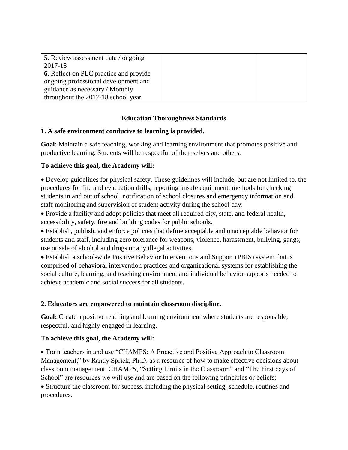| <b>5</b> . Review assessment data / ongoing   |  |
|-----------------------------------------------|--|
| 2017-18                                       |  |
| <b>6.</b> Reflect on PLC practice and provide |  |
| ongoing professional development and          |  |
| guidance as necessary / Monthly               |  |
| throughout the 2017-18 school year            |  |

# **Education Thoroughness Standards**

# **1. A safe environment conducive to learning is provided.**

**Goal**: Maintain a safe teaching, working and learning environment that promotes positive and productive learning. Students will be respectful of themselves and others.

# **To achieve this goal, the Academy will:**

• Develop guidelines for physical safety. These guidelines will include, but are not limited to, the procedures for fire and evacuation drills, reporting unsafe equipment, methods for checking students in and out of school, notification of school closures and emergency information and staff monitoring and supervision of student activity during the school day.

• Provide a facility and adopt policies that meet all required city, state, and federal health, accessibility, safety, fire and building codes for public schools.

• Establish, publish, and enforce policies that define acceptable and unacceptable behavior for students and staff, including zero tolerance for weapons, violence, harassment, bullying, gangs, use or sale of alcohol and drugs or any illegal activities.

• Establish a school-wide Positive Behavior Interventions and Support (PBIS) system that is comprised of behavioral intervention practices and organizational systems for establishing the social culture, learning, and teaching environment and individual behavior supports needed to achieve academic and social success for all students.

#### **2. Educators are empowered to maintain classroom discipline.**

**Goal:** Create a positive teaching and learning environment where students are responsible, respectful, and highly engaged in learning.

#### **To achieve this goal, the Academy will:**

• Train teachers in and use "CHAMPS: A Proactive and Positive Approach to Classroom Management," by Randy Sprick, Ph.D. as a resource of how to make effective decisions about classroom management. CHAMPS, "Setting Limits in the Classroom" and "The First days of School" are resources we will use and are based on the following principles or beliefs:

• Structure the classroom for success, including the physical setting, schedule, routines and procedures.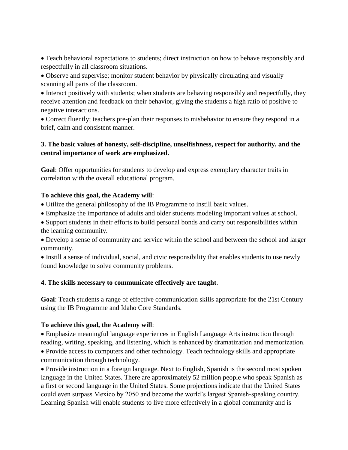• Teach behavioral expectations to students; direct instruction on how to behave responsibly and respectfully in all classroom situations.

• Observe and supervise; monitor student behavior by physically circulating and visually scanning all parts of the classroom.

• Interact positively with students; when students are behaving responsibly and respectfully, they receive attention and feedback on their behavior, giving the students a high ratio of positive to negative interactions.

• Correct fluently; teachers pre-plan their responses to misbehavior to ensure they respond in a brief, calm and consistent manner.

#### **3. The basic values of honesty, self-discipline, unselfishness, respect for authority, and the central importance of work are emphasized.**

**Goal**: Offer opportunities for students to develop and express exemplary character traits in correlation with the overall educational program.

# **To achieve this goal, the Academy will**:

- Utilize the general philosophy of the IB Programme to instill basic values.
- Emphasize the importance of adults and older students modeling important values at school.

• Support students in their efforts to build personal bonds and carry out responsibilities within the learning community.

• Develop a sense of community and service within the school and between the school and larger community.

• Instill a sense of individual, social, and civic responsibility that enables students to use newly found knowledge to solve community problems.

#### **4. The skills necessary to communicate effectively are taught**.

**Goal**: Teach students a range of effective communication skills appropriate for the 21st Century using the IB Programme and Idaho Core Standards.

#### **To achieve this goal, the Academy will**:

• Emphasize meaningful language experiences in English Language Arts instruction through reading, writing, speaking, and listening, which is enhanced by dramatization and memorization.

• Provide access to computers and other technology. Teach technology skills and appropriate communication through technology.

• Provide instruction in a foreign language. Next to English, Spanish is the second most spoken language in the United States. There are approximately 52 million people who speak Spanish as a first or second language in the United States. Some projections indicate that the United States could even surpass Mexico by 2050 and become the world's largest Spanish-speaking country. Learning Spanish will enable students to live more effectively in a global community and is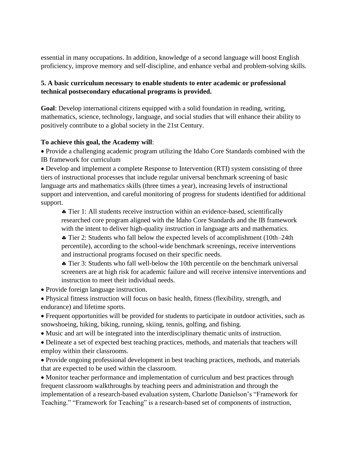essential in many occupations. In addition, knowledge of a second language will boost English proficiency, improve memory and self-discipline, and enhance verbal and problem-solving skills.

# **5. A basic curriculum necessary to enable students to enter academic or professional technical postsecondary educational programs is provided.**

**Goal**: Develop international citizens equipped with a solid foundation in reading, writing, mathematics, science, technology, language, and social studies that will enhance their ability to positively contribute to a global society in the 21st Century.

# **To achieve this goal, the Academy will**:

• Provide a challenging academic program utilizing the Idaho Core Standards combined with the IB framework for curriculum

• Develop and implement a complete Response to Intervention (RTI) system consisting of three tiers of instructional processes that include regular universal benchmark screening of basic language arts and mathematics skills (three times a year), increasing levels of instructional support and intervention, and careful monitoring of progress for students identified for additional support.

 Tier 1: All students receive instruction within an evidence-based, scientifically researched core program aligned with the Idaho Core Standards and the IB framework with the intent to deliver high-quality instruction in language arts and mathematics.

 Tier 2: Students who fall below the expected levels of accomplishment (10th–24th percentile), according to the school-wide benchmark screenings, receive interventions and instructional programs focused on their specific needs.

• Tier 3: Students who fall well-below the 10th percentile on the benchmark universal screeners are at high risk for academic failure and will receive intensive interventions and instruction to meet their individual needs.

• Provide foreign language instruction.

• Physical fitness instruction will focus on basic health, fitness (flexibility, strength, and endurance) and lifetime sports.

- Frequent opportunities will be provided for students to participate in outdoor activities, such as snowshoeing, hiking, biking, running, skiing, tennis, golfing, and fishing.
- Music and art will be integrated into the interdisciplinary thematic units of instruction.
- Delineate a set of expected best teaching practices, methods, and materials that teachers will employ within their classrooms.

• Provide ongoing professional development in best teaching practices, methods, and materials that are expected to be used within the classroom.

• Monitor teacher performance and implementation of curriculum and best practices through frequent classroom walkthroughs by teaching peers and administration and through the implementation of a research-based evaluation system, Charlotte Danielson's "Framework for Teaching." "Framework for Teaching" is a research-based set of components of instruction,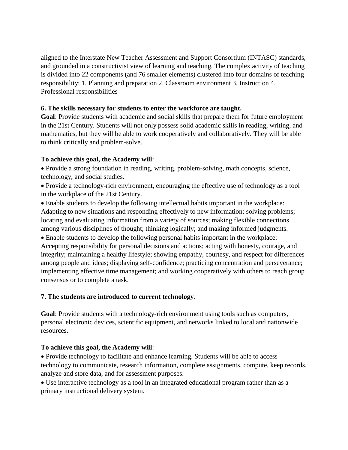aligned to the Interstate New Teacher Assessment and Support Consortium (INTASC) standards, and grounded in a constructivist view of learning and teaching. The complex activity of teaching is divided into 22 components (and 76 smaller elements) clustered into four domains of teaching responsibility: 1. Planning and preparation 2. Classroom environment 3. Instruction 4. Professional responsibilities

#### **6. The skills necessary for students to enter the workforce are taught.**

**Goal**: Provide students with academic and social skills that prepare them for future employment in the 21st Century. Students will not only possess solid academic skills in reading, writing, and mathematics, but they will be able to work cooperatively and collaboratively. They will be able to think critically and problem-solve.

#### **To achieve this goal, the Academy will**:

• Provide a strong foundation in reading, writing, problem-solving, math concepts, science, technology, and social studies.

• Provide a technology-rich environment, encouraging the effective use of technology as a tool in the workplace of the 21st Century.

• Enable students to develop the following intellectual habits important in the workplace: Adapting to new situations and responding effectively to new information; solving problems; locating and evaluating information from a variety of sources; making flexible connections among various disciplines of thought; thinking logically; and making informed judgments.

• Enable students to develop the following personal habits important in the workplace: Accepting responsibility for personal decisions and actions; acting with honesty, courage, and integrity; maintaining a healthy lifestyle; showing empathy, courtesy, and respect for differences among people and ideas; displaying self-confidence; practicing concentration and perseverance; implementing effective time management; and working cooperatively with others to reach group consensus or to complete a task.

#### **7. The students are introduced to current technology**.

**Goal**: Provide students with a technology-rich environment using tools such as computers, personal electronic devices, scientific equipment, and networks linked to local and nationwide resources.

#### **To achieve this goal, the Academy will**:

• Provide technology to facilitate and enhance learning. Students will be able to access technology to communicate, research information, complete assignments, compute, keep records, analyze and store data, and for assessment purposes.

• Use interactive technology as a tool in an integrated educational program rather than as a primary instructional delivery system.